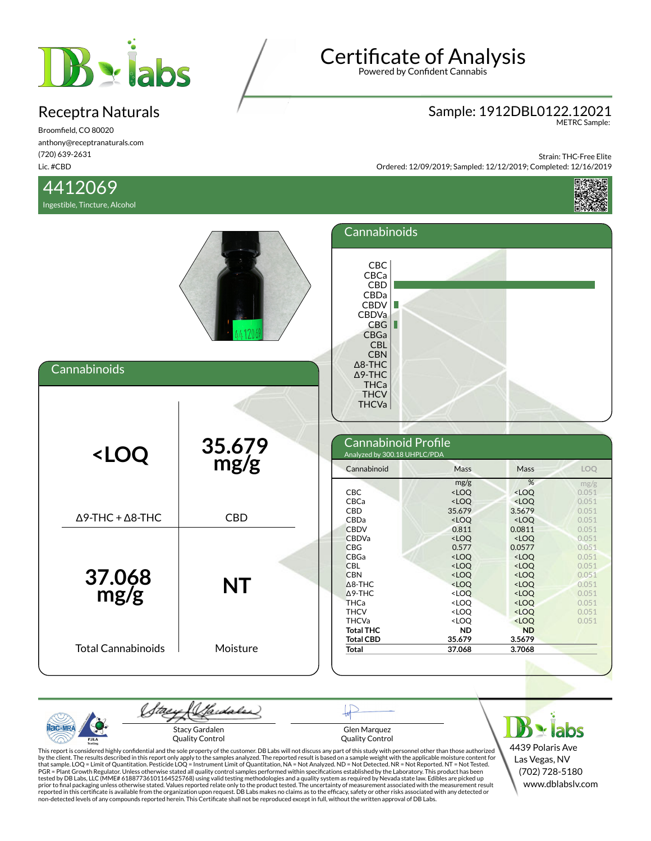

Broomfield, CO 80020 anthony@receptranaturals.com (720) 639-2631 Lic. #CBD

### 4412069

Ingestible, Tincture, Alcohol

# Certificate of Analysis

Powered by Confident Cannabis

## Sample: 1912DBL0122.12021 METRC Sample:

Strain: THC-Free Elite Ordered: 12/09/2019; Sampled: 12/12/2019; Completed: 12/16/2019



| Cannabinoids                                                                                                                                                                                                                                                                                                                                                                                             |                         | Cannabinoids<br><b>CBC</b><br>CBCa<br>CBD<br>CBDa<br><b>CBDV</b><br>٠<br>CBDVa<br>CBG<br>Ш<br>CBGa<br><b>CBL</b><br><b>CBN</b><br>$\Delta$ 8-THC<br>$\Delta$ 9-THC<br><b>THCa</b>                     |                                                                                                                                                                                                                          |                                                                                                                                                                                           |                                                                                                          |
|----------------------------------------------------------------------------------------------------------------------------------------------------------------------------------------------------------------------------------------------------------------------------------------------------------------------------------------------------------------------------------------------------------|-------------------------|-------------------------------------------------------------------------------------------------------------------------------------------------------------------------------------------------------|--------------------------------------------------------------------------------------------------------------------------------------------------------------------------------------------------------------------------|-------------------------------------------------------------------------------------------------------------------------------------------------------------------------------------------|----------------------------------------------------------------------------------------------------------|
| <loq< th=""><th>35.679<br/>mg/g</th><th><b>THCV</b><br/><b>THCVa</b><br/>Cannabinoid Profile<br/>Analyzed by 300.18 UHPLC/PDA<br/>Cannabinoid<br/>CBC<br/>CBCa<br/>CBD</th><th>Mass<br/>mg/g<br/><math>&lt;</math>LOQ<br/><math>&lt;</math>LOQ<br/>35.679</th><th>Mass<br/>%<br/><math>&lt;</math>LOQ<br/><math>&lt;</math>LOQ<br/>3.5679</th><th>LOQ<br/>mg/g<br/>0.051<br/>0.051<br/>0.051</th></loq<> | 35.679<br>mg/g          | <b>THCV</b><br><b>THCVa</b><br>Cannabinoid Profile<br>Analyzed by 300.18 UHPLC/PDA<br>Cannabinoid<br>CBC<br>CBCa<br>CBD                                                                               | Mass<br>mg/g<br>$<$ LOQ<br>$<$ LOQ<br>35.679                                                                                                                                                                             | Mass<br>%<br>$<$ LOQ<br>$<$ LOQ<br>3.5679                                                                                                                                                 | LOQ<br>mg/g<br>0.051<br>0.051<br>0.051                                                                   |
| $\Delta$ 9-THC + $\Delta$ 8-THC<br>37.068<br>mg/g                                                                                                                                                                                                                                                                                                                                                        | <b>CBD</b><br><b>NT</b> | CBDa<br><b>CBDV</b><br><b>CBDVa</b><br><b>CBG</b><br><b>CBGa</b><br><b>CBL</b><br><b>CBN</b><br>$\triangle$ 8-THC<br>$\Delta$ 9-THC<br><b>THCa</b><br><b>THCV</b><br><b>THCVa</b><br><b>Total THC</b> | $<$ LOQ<br>0.811<br><loq<br>0.577<br/><math>&lt;</math>LOQ<br/><math>&lt;</math>LOQ<br/><math>&lt;</math>LOQ<br/><loq<br><loq<br><loq<br><loq<br><loq<br><b>ND</b></loq<br></loq<br></loq<br></loq<br></loq<br></loq<br> | $<$ LOQ<br>0.0811<br>$<$ LOQ<br>0.0577<br>$<$ LOQ<br>$<$ LOQ<br>$<$ LOQ<br><loq<br><math>&lt;</math>LOQ<br/><loq<br><math>&lt;</math>LOQ<br/><loq<br><b>ND</b></loq<br></loq<br></loq<br> | 0.051<br>0.051<br>0.051<br>0.051<br>0.051<br>0.051<br>0.051<br>0.051<br>0.051<br>0.051<br>0.051<br>0.051 |
| <b>Total Cannabinoids</b>                                                                                                                                                                                                                                                                                                                                                                                | Moisture                | <b>Total CBD</b><br><b>Total</b>                                                                                                                                                                      | 35.679<br>37.068                                                                                                                                                                                                         | 3.5679<br>3.7068                                                                                                                                                                          |                                                                                                          |

(Sadales) tae  $B \times$  labs  $AC-MR$ Stacy Gardalen Glen Marquez Quality Control Quality Control PJLA

4439 Polaris Ave Las Vegas, NV (702) 728-5180 www.dblabslv.com

This report is considered highly confidential and the sole property of the customer. DB Labs will not discuss any part of this study with personnel other than those authorized<br>by the client. The results described in this r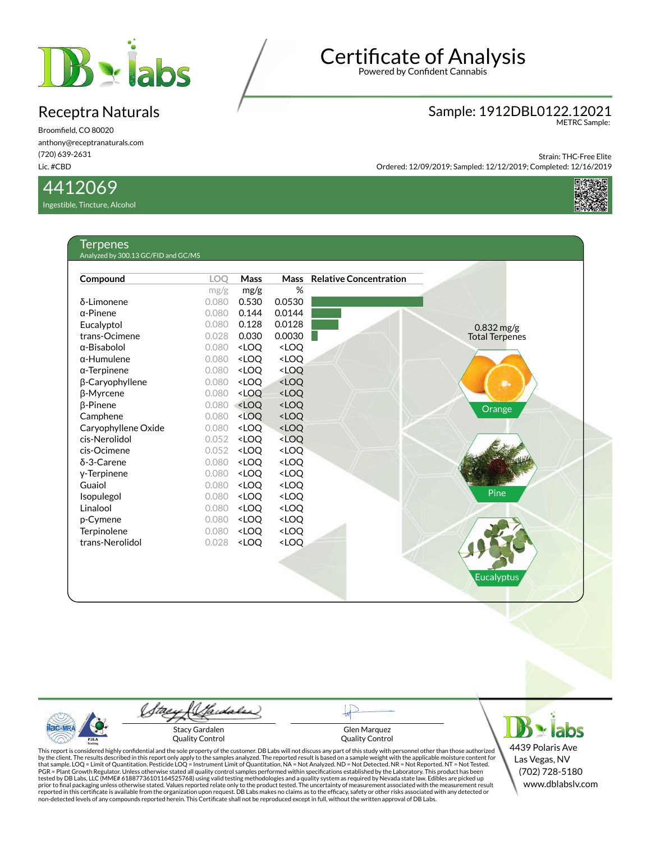

Broomfield, CO 80020 anthony@receptranaturals.com (720) 639-2631 Lic. #CBD

#### 4412069

Ingestible, Tincture, Alcohol

T<sub>erpene</sub>s

# Certificate of Analysis

Powered by Confident Cannabis

### Sample: 1912DBL0122.12021 METRC Sample:

Strain: THC-Free Elite Ordered: 12/09/2019; Sampled: 12/12/2019; Completed: 12/16/2019



| Compound            | <b>LOO</b> | Mass                                                                         | <b>Mass</b>                                 | <b>Relative Concentration</b> |                       |
|---------------------|------------|------------------------------------------------------------------------------|---------------------------------------------|-------------------------------|-----------------------|
|                     | mg/g       | mg/g                                                                         | %                                           |                               |                       |
| δ-Limonene          | 0.080      | 0.530                                                                        | 0.0530                                      |                               |                       |
| $\alpha$ -Pinene    | 0.080      | 0.144                                                                        | 0.0144                                      |                               |                       |
| Eucalyptol          | 0.080      | 0.128                                                                        | 0.0128                                      |                               | $0.832$ mg/g          |
| trans-Ocimene       | 0.028      | 0.030                                                                        | 0.0030                                      |                               | <b>Total Terpenes</b> |
| $\alpha$ -Bisabolol | 0.080      | <loq< td=""><td><loq< td=""><td></td><td></td></loq<></td></loq<>            | <loq< td=""><td></td><td></td></loq<>       |                               |                       |
| $\alpha$ -Humulene  | 0.080      | <loq< td=""><td><loq< td=""><td></td><td></td></loq<></td></loq<>            | <loq< td=""><td></td><td></td></loq<>       |                               |                       |
| $\alpha$ -Terpinene | 0.080      | <loq< td=""><td><loq< td=""><td></td><td></td></loq<></td></loq<>            | <loq< td=""><td></td><td></td></loq<>       |                               |                       |
| β-Caryophyllene     | 0.080      | <loq< td=""><td><math>&lt;</math>LOQ</td><td></td><td><b>Die</b></td></loq<> | $<$ LOQ                                     |                               | <b>Die</b>            |
| <b>B-Myrcene</b>    | 0.080      | <loq< td=""><td><loq< td=""><td></td><td></td></loq<></td></loq<>            | <loq< td=""><td></td><td></td></loq<>       |                               |                       |
| <b>B-Pinene</b>     | 0.080      | <loq< td=""><td><loq< td=""><td></td><td>Orange</td></loq<></td></loq<>      | <loq< td=""><td></td><td>Orange</td></loq<> |                               | Orange                |
| Camphene            | 0.080      | <loq< td=""><td><math>&lt;</math>LOQ</td><td></td><td></td></loq<>           | $<$ LOQ                                     |                               |                       |
| Caryophyllene Oxide | 0.080      | <loq< td=""><td><loq< td=""><td></td><td></td></loq<></td></loq<>            | <loq< td=""><td></td><td></td></loq<>       |                               |                       |
| cis-Nerolidol       | 0.052      | <loq< td=""><td><loq< td=""><td></td><td></td></loq<></td></loq<>            | <loq< td=""><td></td><td></td></loq<>       |                               |                       |
| cis-Ocimene         | 0.052      | <loq< td=""><td><loq< td=""><td></td><td></td></loq<></td></loq<>            | <loq< td=""><td></td><td></td></loq<>       |                               |                       |
| $\delta$ -3-Carene  | 0.080      | <loq< td=""><td><loq< td=""><td></td><td></td></loq<></td></loq<>            | <loq< td=""><td></td><td></td></loq<>       |                               |                       |
| y-Terpinene         | 0.080      | <loq< td=""><td><loq< td=""><td></td><td></td></loq<></td></loq<>            | <loq< td=""><td></td><td></td></loq<>       |                               |                       |
| Guaiol              | 0.080      | <loq< td=""><td><loq< td=""><td></td><td></td></loq<></td></loq<>            | <loq< td=""><td></td><td></td></loq<>       |                               |                       |
| Isopulegol          | 0.080      | <loq< td=""><td><loq< td=""><td></td><td>Pine</td></loq<></td></loq<>        | <loq< td=""><td></td><td>Pine</td></loq<>   |                               | Pine                  |
| Linalool            | 0.080      | <loq< td=""><td><loq< td=""><td></td><td></td></loq<></td></loq<>            | <loq< td=""><td></td><td></td></loq<>       |                               |                       |
| p-Cymene            | 0.080      | <loq< td=""><td><loq< td=""><td></td><td></td></loq<></td></loq<>            | <loq< td=""><td></td><td></td></loq<>       |                               |                       |
| Terpinolene         | 0.080      | <loq< td=""><td><loq< td=""><td></td><td></td></loq<></td></loq<>            | <loq< td=""><td></td><td></td></loq<>       |                               |                       |
| trans-Nerolidol     | 0.028      | <loq< td=""><td><loq< td=""><td></td><td></td></loq<></td></loq<>            | <loq< td=""><td></td><td></td></loq<>       |                               |                       |
|                     |            |                                                                              |                                             |                               |                       |
|                     |            |                                                                              |                                             |                               |                       |

 $B \cdot$ labs Stacy Gardalen Glen Marquez Quality Control Quality Control This report is considered highly confidential and the sole property of the customer. DB Labs will not discuss any part of this study with personnel other than those authorized<br>by the client. The results described in this r

(Sadales)

tae

ac-MR

PJL/

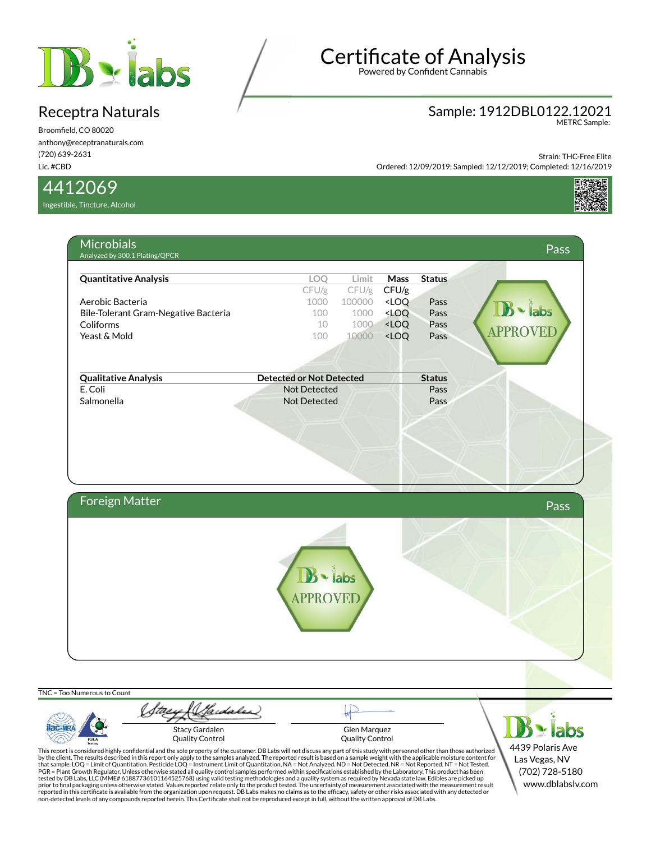

Broomfield, CO 80020 anthony@receptranaturals.com (720) 639-2631 Lic. #CBD

4412069

**AC-MR** 

PJLA

Ingestible, Tincture, Alcohol

# Certificate of Analysis

Powered by Confident Cannabis

### Sample: 1912DBL0122.12021 METRC Sample:

4439 Polaris Ave Las Vegas, NV (702) 728-5180 www.dblabslv.com

Strain: THC-Free Elite

Ordered: 12/09/2019; Sampled: 12/12/2019; Completed: 12/16/2019





Glen Marquez Quality Control

Stacy Gardalen Quality Control

This report is considered highly confidential and the sole property of the customer. DB Labs will not discuss any part of this study with personnel other than those authorized<br>by the client. The results described in this r

tested by DB Labs, LLC (MME# 61887736101164525768) using valid testing methodologies and a quality system as required by Nevada state law. Edibles are picked up<br>prior to final packaging unless otherwise stated. Values repo